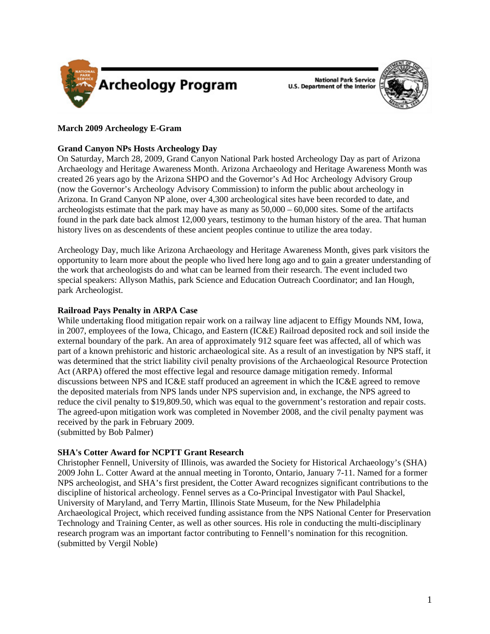

**National Park Service** U.S. Department of the Interior



# **March 2009 Archeology E-Gram**

# **Grand Canyon NPs Hosts Archeology Day**

On Saturday, March 28, 2009, Grand Canyon National Park hosted Archeology Day as part of Arizona Archaeology and Heritage Awareness Month. Arizona Archaeology and Heritage Awareness Month was created 26 years ago by the Arizona SHPO and the Governor's Ad Hoc Archeology Advisory Group (now the Governor's Archeology Advisory Commission) to inform the public about archeology in Arizona. In Grand Canyon NP alone, over 4,300 archeological sites have been recorded to date, and archeologists estimate that the park may have as many as 50,000 – 60,000 sites. Some of the artifacts found in the park date back almost 12,000 years, testimony to the human history of the area. That human history lives on as descendents of these ancient peoples continue to utilize the area today.

Archeology Day, much like Arizona Archaeology and Heritage Awareness Month, gives park visitors the opportunity to learn more about the people who lived here long ago and to gain a greater understanding of the work that archeologists do and what can be learned from their research. The event included two special speakers: Allyson Mathis, park Science and Education Outreach Coordinator; and Ian Hough, park Archeologist.

# **Railroad Pays Penalty in ARPA Case**

While undertaking flood mitigation repair work on a railway line adjacent to Effigy Mounds NM, Iowa, in 2007, employees of the Iowa, Chicago, and Eastern (IC&E) Railroad deposited rock and soil inside the external boundary of the park. An area of approximately 912 square feet was affected, all of which was part of a known prehistoric and historic archaeological site. As a result of an investigation by NPS staff, it was determined that the strict liability civil penalty provisions of the Archaeological Resource Protection Act (ARPA) offered the most effective legal and resource damage mitigation remedy. Informal discussions between NPS and IC&E staff produced an agreement in which the IC&E agreed to remove the deposited materials from NPS lands under NPS supervision and, in exchange, the NPS agreed to reduce the civil penalty to \$19,809.50, which was equal to the government's restoration and repair costs. The agreed-upon mitigation work was completed in November 2008, and the civil penalty payment was received by the park in February 2009.

(submitted by Bob Palmer)

# **SHA's Cotter Award for NCPTT Grant Research**

Christopher Fennell, University of Illinois, was awarded the Society for Historical Archaeology's (SHA) 2009 John L. Cotter Award at the annual meeting in Toronto, Ontario, January 7-11. Named for a former NPS archeologist, and SHA's first president, the Cotter Award recognizes significant contributions to the discipline of historical archeology. Fennel serves as a Co-Principal Investigator with Paul Shackel, University of Maryland, and Terry Martin, Illinois State Museum, for the New Philadelphia Archaeological Project, which received funding assistance from the NPS National Center for Preservation Technology and Training Center, as well as other sources. His role in conducting the multi-disciplinary research program was an important factor contributing to Fennell's nomination for this recognition. (submitted by Vergil Noble)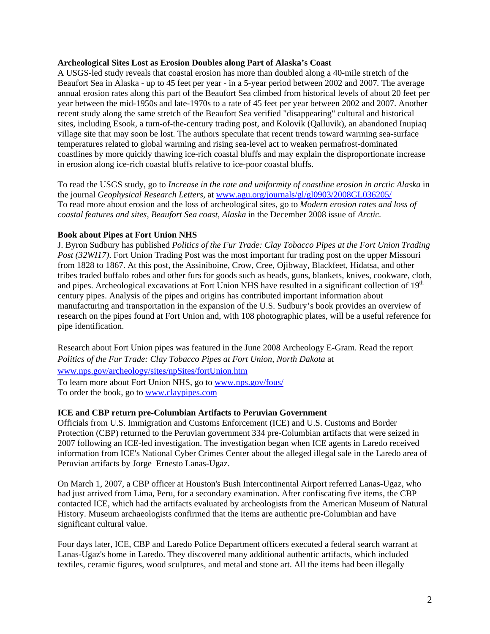#### **Archeological Sites Lost as Erosion Doubles along Part of Alaska's Coast**

A USGS-led study reveals that coastal erosion has more than doubled along a 40-mile stretch of the Beaufort Sea in Alaska - up to 45 feet per year - in a 5-year period between 2002 and 2007*.* The average annual erosion rates along this part of the Beaufort Sea climbed from historical levels of about 20 feet per year between the mid-1950s and late-1970s to a rate of 45 feet per year between 2002 and 2007. Another recent study along the same stretch of the Beaufort Sea verified "disappearing" cultural and historical sites, including Esook, a turn-of-the-century trading post, and Kolovik (Qalluvik), an abandoned Inupiaq village site that may soon be lost. The authors speculate that recent trends toward warming sea-surface temperatures related to global warming and rising sea-level act to weaken permafrost-dominated coastlines by more quickly thawing ice-rich coastal bluffs and may explain the disproportionate increase in erosion along ice-rich coastal bluffs relative to ice-poor coastal bluffs.

To read the USGS study, go to *Increase in the rate and uniformity of coastline erosion in arctic Alaska* in the journal *Geophysical Research Letters,* at<www.agu.org/journals/gl/gl0903/2008GL036205/> To read more about erosion and the loss of archeological sites, go to *Modern erosion rates and loss of coastal features and sites, Beaufort Sea coast, Alaska* in the December 2008 issue of *Arctic.* 

## **Book about Pipes at Fort Union NHS**

J. Byron Sudbury has published *Politics of the Fur Trade: Clay Tobacco Pipes at the Fort Union Trading Post (32WI17)*. Fort Union Trading Post was the most important fur trading post on the upper Missouri from 1828 to 1867. At this post, the Assiniboine, Crow, Cree, Ojibway, Blackfeet, Hidatsa, and other tribes traded buffalo robes and other furs for goods such as beads, guns, blankets, knives, cookware, cloth, and pipes. Archeological excavations at Fort Union NHS have resulted in a significant collection of 19<sup>th</sup> century pipes. Analysis of the pipes and origins has contributed important information about manufacturing and transportation in the expansion of the U.S. Sudbury's book provides an overview of research on the pipes found at Fort Union and, with 108 photographic plates, will be a useful reference for pipe identification.

Research about Fort Union pipes was featured in the June 2008 Archeology E-Gram. Read the report *Politics of the Fur Trade: Clay Tobacco Pipes at Fort Union, North Dakota* at <www.nps.gov/archeology/sites/npSites/fortUnion.htm>

To learn more about Fort Union NHS, go to<www.nps.gov/fous/> To order the book, go to <www.claypipes.com>

## **ICE and CBP return pre-Columbian Artifacts to Peruvian Government**

Officials from U.S. Immigration and Customs Enforcement (ICE) and U.S. Customs and Border Protection (CBP) returned to the Peruvian government 334 pre-Columbian artifacts that were seized in 2007 following an ICE-led investigation. The investigation began when ICE agents in Laredo received information from ICE's National Cyber Crimes Center about the alleged illegal sale in the Laredo area of Peruvian artifacts by Jorge Ernesto Lanas-Ugaz.

On March 1, 2007, a CBP officer at Houston's Bush Intercontinental Airport referred Lanas-Ugaz, who had just arrived from Lima, Peru, for a secondary examination. After confiscating five items, the CBP contacted ICE, which had the artifacts evaluated by archeologists from the American Museum of Natural History. Museum archaeologists confirmed that the items are authentic pre-Columbian and have significant cultural value.

Four days later, ICE, CBP and Laredo Police Department officers executed a federal search warrant at Lanas-Ugaz's home in Laredo. They discovered many additional authentic artifacts, which included textiles, ceramic figures, wood sculptures, and metal and stone art. All the items had been illegally